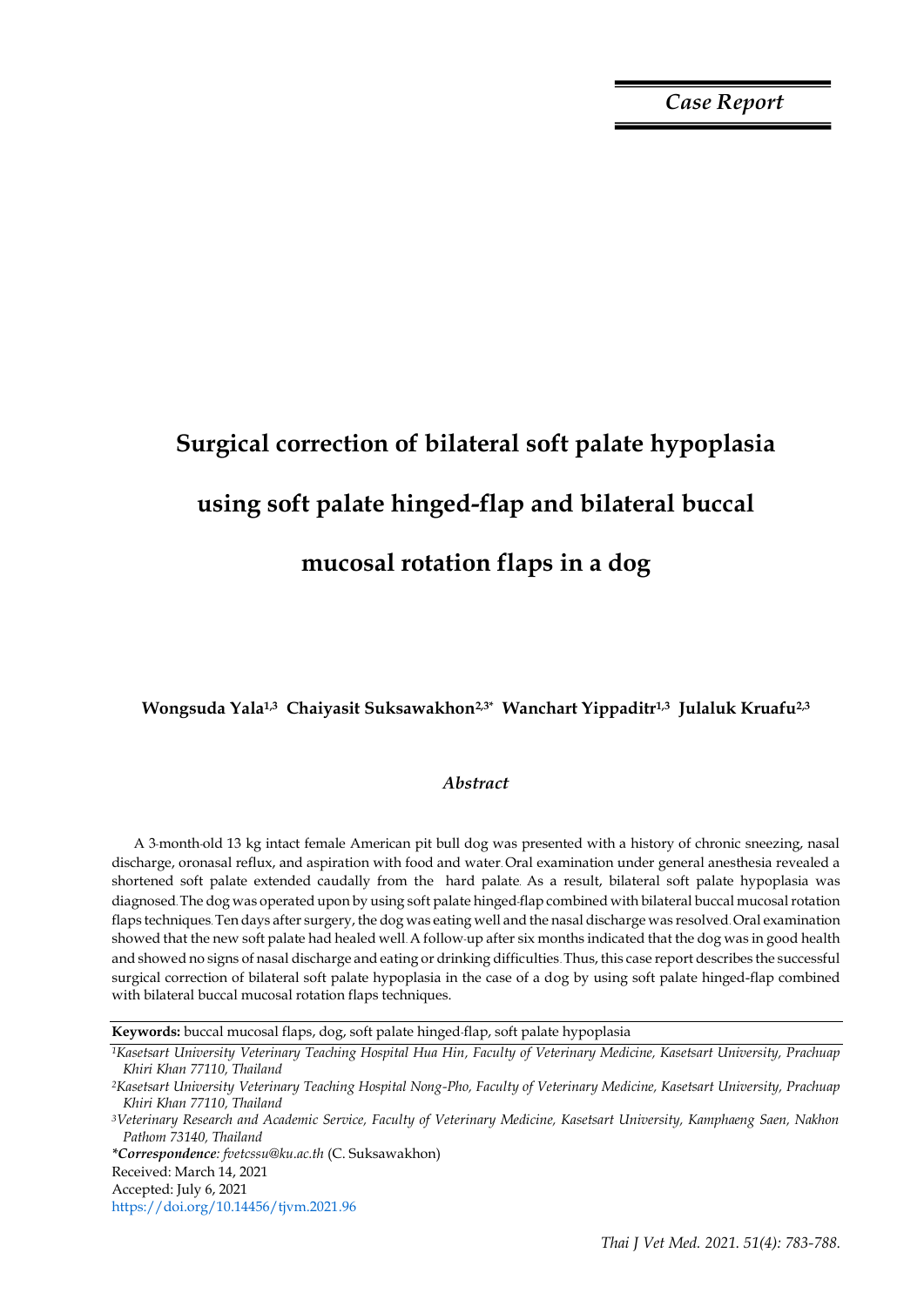*Case Report*

# **Surgical correction of bilateral soft palate hypoplasia using soft palate hinged-flap and bilateral buccal mucosal rotation flaps in a dog**

**Wongsuda Yala1,3 Chaiyasit Suksawakhon2,3\* Wanchart Yippaditr1,3 Julaluk Kruafu2,3**

## *Abstract*

A 3-month-old 13 kg intact female American pit bull dog was presented with a history of chronic sneezing, nasal discharge, oronasal reflux, and aspiration with food and water. Oral examination under general anesthesia revealed a shortened soft palate extended caudally from the hard palate. As a result, bilateral soft palate hypoplasia was diagnosed. The dog was operated upon by using soft palate hinged-flap combined with bilateral buccal mucosal rotation flaps techniques. Ten days after surgery, the dog was eating well and the nasal discharge was resolved. Oral examination showed that the new soft palate had healed well. A follow-up after six months indicated that the dog was in good health and showed no signs of nasal discharge and eating or drinking difficulties. Thus, this case report describes the successful surgical correction of bilateral soft palate hypoplasia in the case of a dog by using soft palate hinged-flap combined with bilateral buccal mucosal rotation flaps techniques.

**Keywords:** buccal mucosal flaps, dog, soft palate hinged-flap, soft palate hypoplasia

*\*Correspondence: fvetcssu@ku.ac.th* (C. Suksawakhon)

Received: March 14, 2021

Accepted: July 6, 2021

https://doi.org/10.14456/tjvm.2021.96

*<sup>1</sup>Kasetsart University Veterinary Teaching Hospital Hua Hin, Faculty of Veterinary Medicine, Kasetsart University, Prachuap Khiri Khan 77110, Thailand*

*<sup>2</sup>Kasetsart University Veterinary Teaching Hospital Nong-Pho, Faculty of Veterinary Medicine, Kasetsart University, Prachuap Khiri Khan 77110, Thailand*

*<sup>3</sup>Veterinary Research and Academic Service, Faculty of Veterinary Medicine, Kasetsart University, Kamphaeng Saen, Nakhon Pathom 73140, Thailand*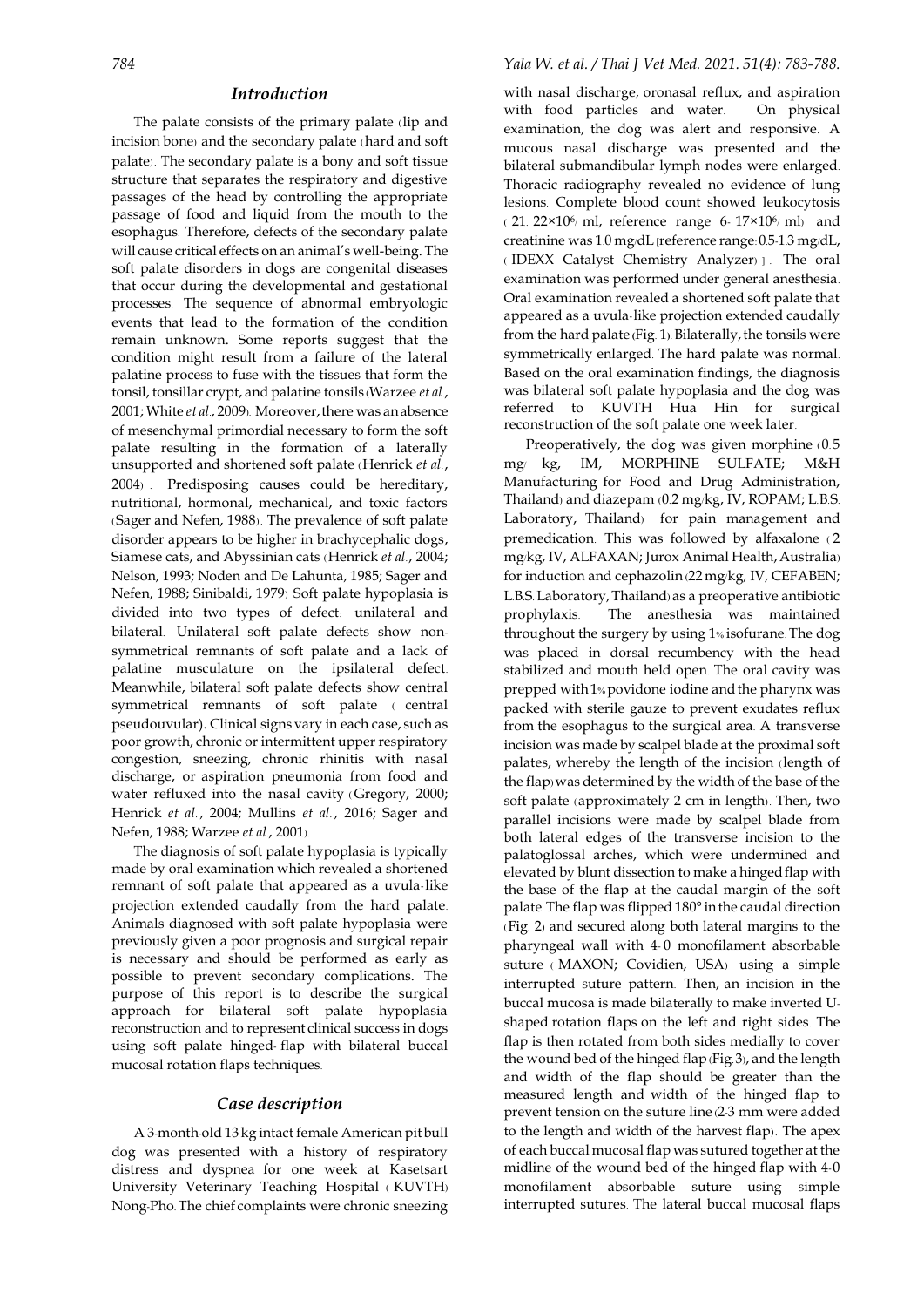#### *Introduction*

The palate consists of the primary palate (lip and incision bone) and the secondary palate (hard and soft palate) . The secondary palate is a bony and soft tissue structure that separates the respiratory and digestive passages of the head by controlling the appropriate passage of food and liquid from the mouth to the esophagus. Therefore, defects of the secondary palate will cause critical effects on an animal's well-being. The soft palate disorders in dogs are congenital diseases that occur during the developmental and gestational processes. The sequence of abnormal embryologic events that lead to the formation of the condition remain unknown. Some reports suggest that the condition might result from a failure of the lateral palatine process to fuse with the tissues that form the tonsil, tonsillar crypt, and palatine tonsils (Warzee *et al*., 2001; White *et al.*, 2009). Moreover, there was an absence of mesenchymal primordial necessary to form the soft palate resulting in the formation of a laterally unsupported and shortened soft palate (Henrick *et al*., 2004) . Predisposing causes could be hereditary, nutritional, hormonal, mechanical, and toxic factors (Sager and Nefen, 1988) . The prevalence of soft palate disorder appears to be higher in brachycephalic dogs, Siamese cats, and Abyssinian cats (Henrick *et al*., 2004; Nelson, 1993; Noden and De Lahunta, 1985; Sager and Nefen, 1988; Sinibaldi, 1979) Soft palate hypoplasia is divided into two types of defect: unilateral and bilateral. Unilateral soft palate defects show nonsymmetrical remnants of soft palate and a lack of palatine musculature on the ipsilateral defect. Meanwhile, bilateral soft palate defects show central symmetrical remnants of soft palate ( central pseudouvular). Clinical signs vary in each case, such as poor growth, chronic or intermittent upper respiratory congestion, sneezing, chronic rhinitis with nasal discharge, or aspiration pneumonia from food and water refluxed into the nasal cavity (Gregory, 2000; Henrick *et al.*, 2004; Mullins *et al.*, 2016; Sager and Nefen, 1988; Warzee *et al*., 2001).

The diagnosis of soft palate hypoplasia is typically made by oral examination which revealed a shortened remnant of soft palate that appeared as a uvula-like projection extended caudally from the hard palate. Animals diagnosed with soft palate hypoplasia were previously given a poor prognosis and surgical repair is necessary and should be performed as early as possible to prevent secondary complications. The purpose of this report is to describe the surgical approach for bilateral soft palate hypoplasia reconstruction and to represent clinical success in dogs using soft palate hinged- flap with bilateral buccal mucosal rotation flaps techniques.

## *Case description*

A 3-month-old 13 kg intact female American pitbull dog was presented with a history of respiratory distress and dyspnea for one week at Kasetsart University Veterinary Teaching Hospital ( KUVTH) Nong-Pho. The chief complaints were chronic sneezing

with nasal discharge, oronasal reflux, and aspiration with food particles and water. On physical examination, the dog was alert and responsive. A mucous nasal discharge was presented and the bilateral submandibular lymph nodes were enlarged. Thoracic radiography revealed no evidence of lung lesions. Complete blood count showed leukocytosis  $(21. 22\times10^6)$  ml, reference range 6-  $17\times10^6$  ml) and creatinine was 1.0 mg/dL [reference range: 0.5-1.3 mg/dL, ( IDEXX Catalyst Chemistry Analyzer) ] . The oral examination was performed under general anesthesia. Oral examination revealed a shortened soft palate that appeared as a uvula-like projection extended caudally from the hard palate (Fig. 1). Bilaterally, the tonsils were symmetrically enlarged. The hard palate was normal. Based on the oral examination findings, the diagnosis was bilateral soft palate hypoplasia and the dog was referred to KUVTH Hua Hin for surgical reconstruction of the soft palate one week later.

Preoperatively, the dog was given morphine  $(0.5)$ mg/ kg, IM, MORPHINE SULFATE; M&H Manufacturing for Food and Drug Administration, Thailand) and diazepam (0.2 mg/kg, IV, ROPAM; L.B.S. Laboratory, Thailand) for pain management and premedication. This was followed by alfaxalone ( 2 mg/kg, IV, ALFAXAN; Jurox Animal Health, Australia) for induction and cephazolin (22 mg/kg, IV, CEFABEN; L.B.S. Laboratory,Thailand) as a preoperative antibiotic prophylaxis. The anesthesia was maintained throughout the surgery by using 1% isofurane. The dog was placed in dorsal recumbency with the head stabilized and mouth held open. The oral cavity was prepped with 1% povidone iodine and the pharynx was packed with sterile gauze to prevent exudates reflux from the esophagus to the surgical area. A transverse incision was made by scalpel blade at the proximal soft palates, whereby the length of the incision (length of the flap) was determined by the width of the base of the soft palate (approximately 2 cm in length). Then, two parallel incisions were made by scalpel blade from both lateral edges of the transverse incision to the palatoglossal arches, which were undermined and elevated by blunt dissection to make a hingedflap with the base of the flap at the caudal margin of the soft palate. The flap was flipped 180° inthe caudal direction (Fig. 2) and secured along both lateral margins to the pharyngeal wall with 4- 0 monofilament absorbable suture ( MAXON; Covidien, USA) using a simple interrupted suture pattern. Then, an incision in the buccal mucosa is made bilaterally to make inverted Ushaped rotation flaps on the left and right sides. The flap is then rotated from both sides medially to cover the wound bed of the hinged flap (Fig. 3), and the length and width of the flap should be greater than the measured length and width of the hinged flap to prevent tension on the suture line (2-3 mm were added to the length and width of the harvest flap) . The apex of each buccal mucosal flap was sutured together at the midline of the wound bed of the hinged flap with 4-0 monofilament absorbable suture using simple interrupted sutures. The lateral buccal mucosal flaps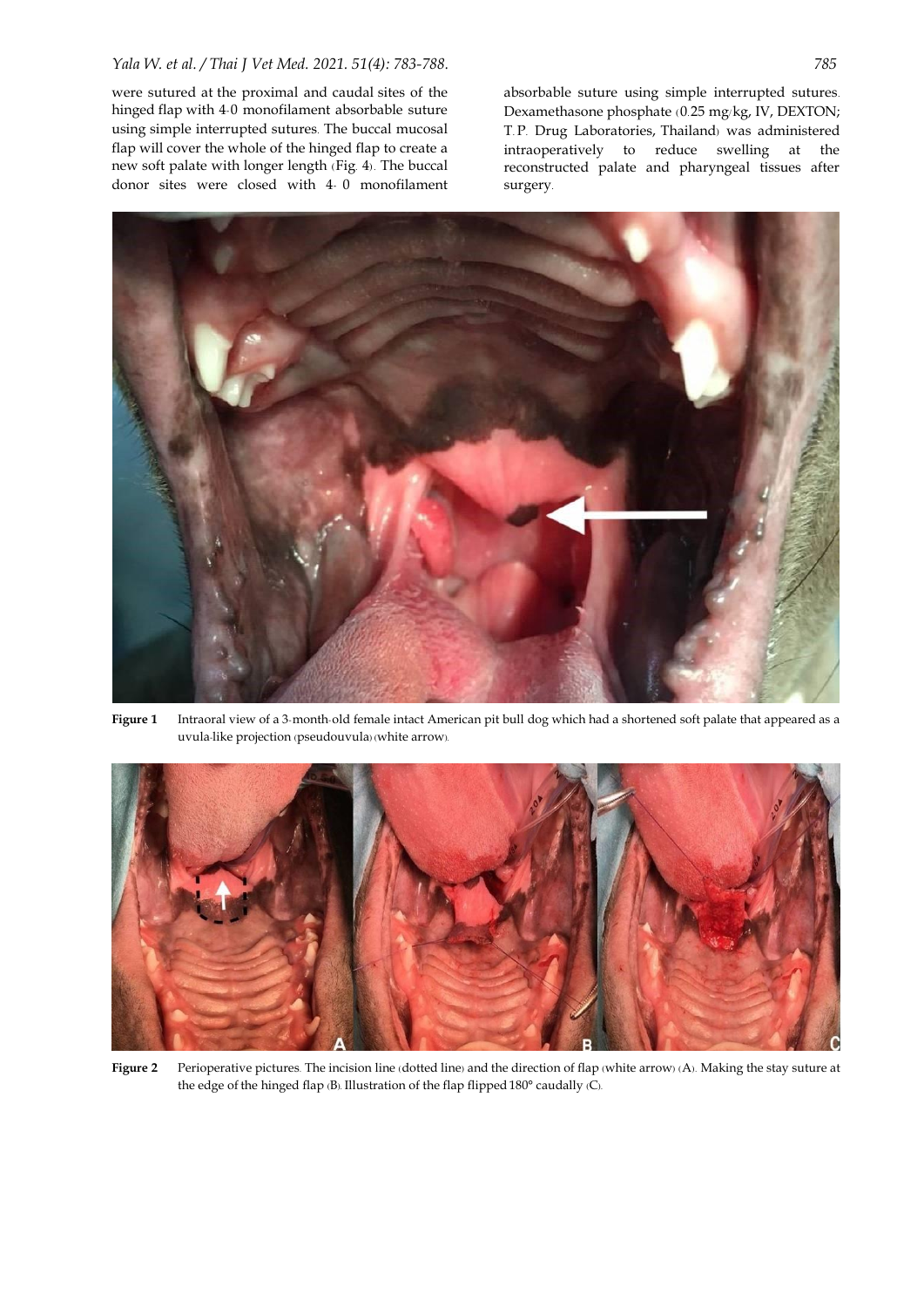were sutured at the proximal and caudal sites of the hinged flap with 4-0 monofilament absorbable suture using simple interrupted sutures. The buccal mucosal flap will cover the whole of the hinged flap to create a new soft palate with longer length (Fig. 4) . The buccal donor sites were closed with 4- 0 monofilament absorbable suture using simple interrupted sutures. Dexamethasone phosphate (0.25 mg/kg, IV, DEXTON; T. P. Drug Laboratories, Thailand) was administered intraoperatively to reduce swelling at the reconstructed palate and pharyngeal tissues after surgery.



**Figure 1** Intraoral view of a 3-month-old female intact American pit bull dog which had a shortened soft palate that appeared as a uvula-like projection (pseudouvula) (white arrow).



**Figure 2** Perioperative pictures. The incision line (dotted line) and the direction of flap (white arrow) (A). Making the stay suture at the edge of the hinged flap (B). Illustration of the flap flipped 180° caudally (C).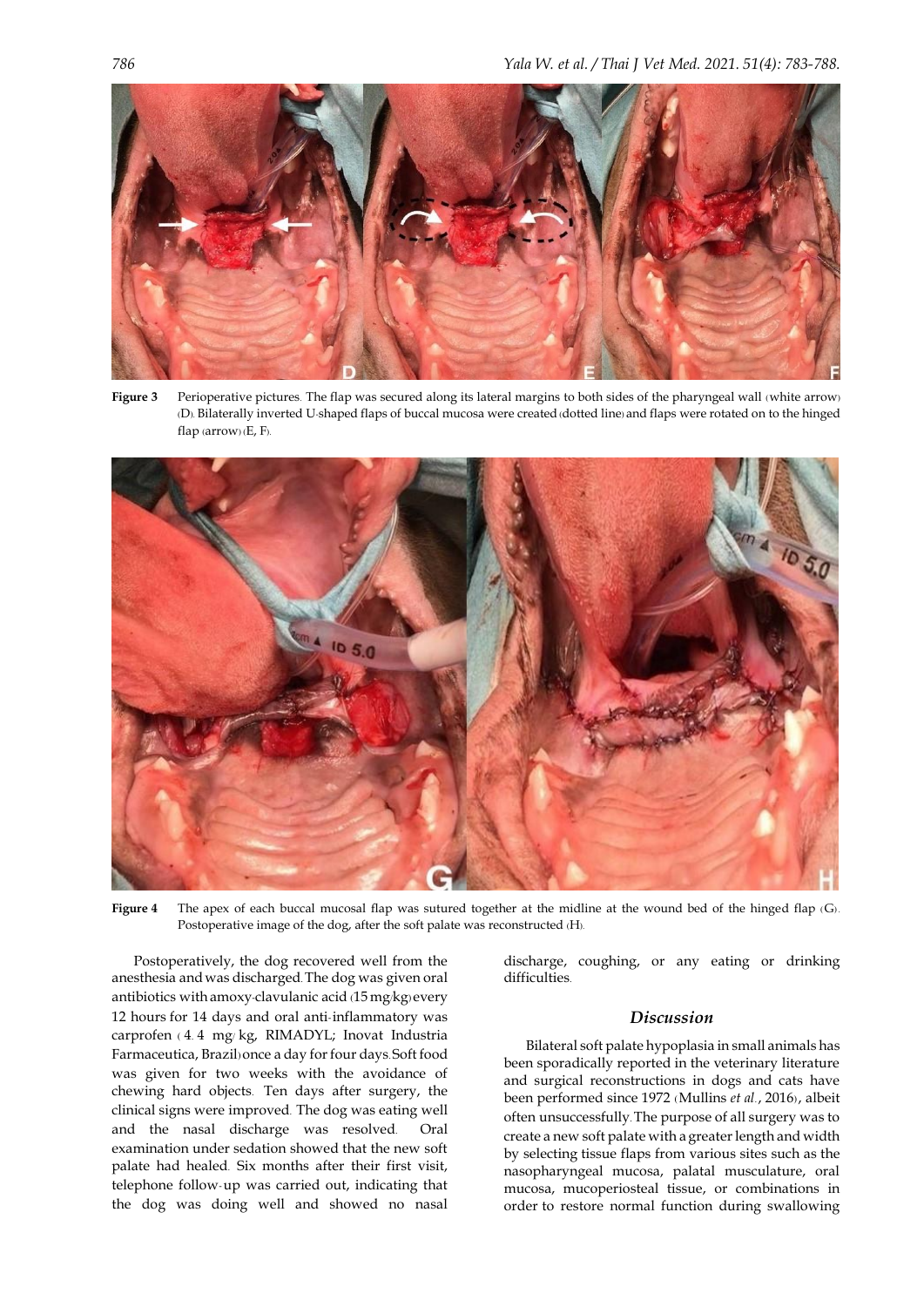

Figure 3 Perioperative pictures. The flap was secured along its lateral margins to both sides of the pharyngeal wall (white arrow) (D). Bilaterally inverted U-shaped flaps of buccal mucosa were created (dotted line) and flaps were rotated on to the hinged flap (arrow) (E, F).



**Figure 4** The apex of each buccal mucosal flap was sutured together at the midline at the wound bed of the hinged flap (G) . Postoperative image of the dog, after the soft palate was reconstructed (H).

Postoperatively, the dog recovered well from the anesthesia andwas discharged. The dog was given oral antibiotics withamoxy-clavulanic acid (15 mg/kg) every 12 hours for 14 days and oral anti-inflammatory was carprofen ( 4. 4 mg/ kg, RIMADYL; Inovat Industria Farmaceutica, Brazil) once a day for four days. Soft food was given for two weeks with the avoidance of chewing hard objects. Ten days after surgery, the clinical signs were improved. The dog was eating well and the nasal discharge was resolved. Oral examination under sedation showed that the new soft palate had healed. Six months after their first visit, telephone follow-up was carried out, indicating that the dog was doing well and showed no nasal

discharge, coughing, or any eating or drinking difficulties.

# *Discussion*

Bilateral soft palate hypoplasia in small animals has been sporadically reported in the veterinary literature and surgical reconstructions in dogs and cats have been performed since 1972 (Mullins *et al*., 2016), albeit often unsuccessfully. The purpose of all surgery was to create a new soft palate with a greater length and width by selecting tissue flaps from various sites such as the nasopharyngeal mucosa, palatal musculature, oral mucosa, mucoperiosteal tissue, or combinations in order to restore normal function during swallowing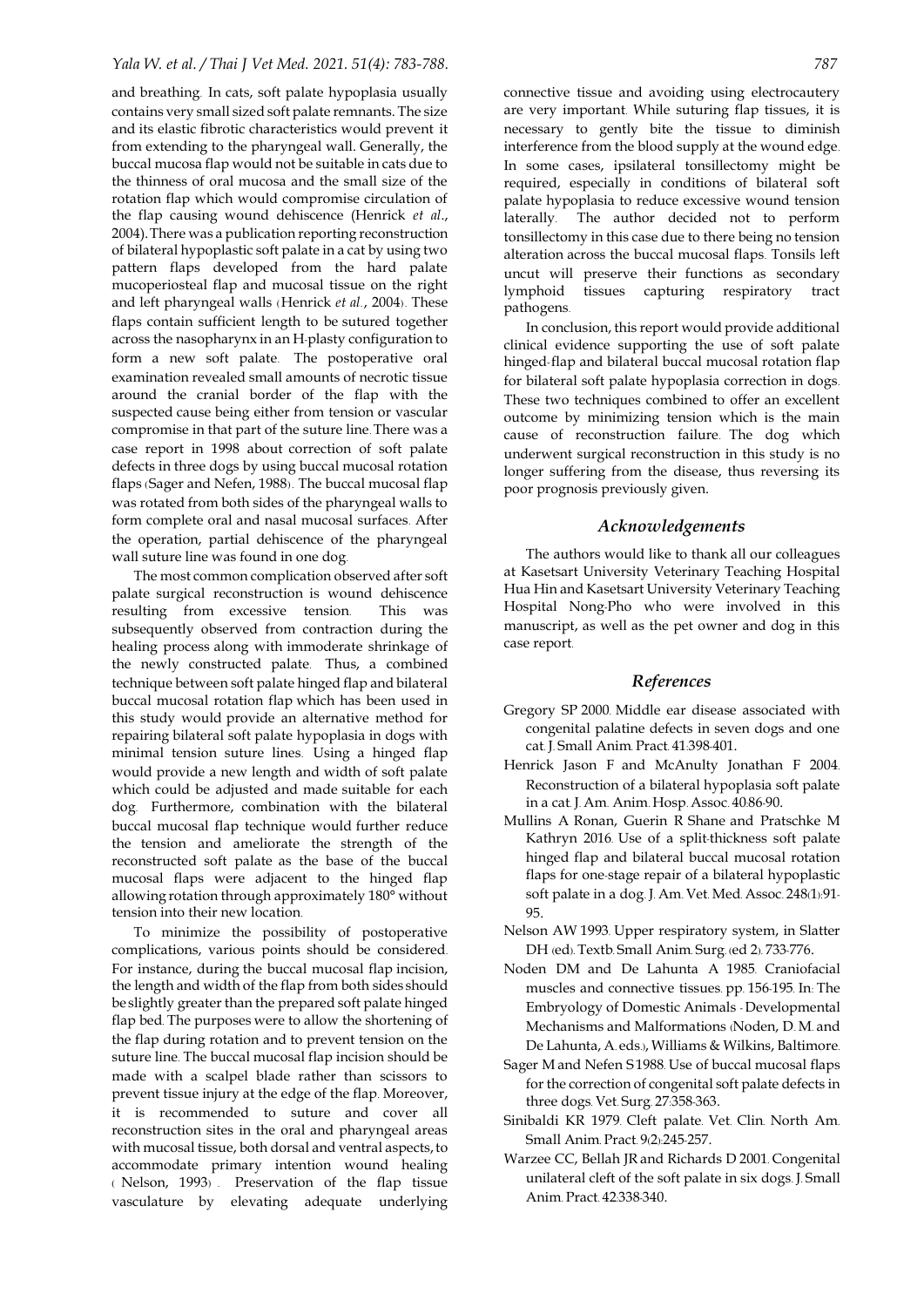## *Yala W. et al. / Thai J Vet Med. 2021. 51(4): 783-788. 787*

and breathing. In cats, soft palate hypoplasia usually contains very small sized soft palate remnants. The size and its elastic fibrotic characteristics would prevent it from extending to the pharyngeal wall. Generally, the buccal mucosa flap would not be suitable in cats due to the thinness of oral mucosa and the small size of the rotation flap which would compromise circulation of the flap causing wound dehiscence (Henrick *et al*., 2004).There was a publication reporting reconstruction of bilateral hypoplastic soft palate in a cat by using two pattern flaps developed from the hard palate mucoperiosteal flap and mucosal tissue on the right and left pharyngeal walls (Henrick *et al*., 2004). These flaps contain sufficient length to be sutured together across the nasopharynx in an H-plasty configuration to form a new soft palate. The postoperative oral examination revealed small amounts of necrotic tissue around the cranial border of the flap with the suspected cause being either from tension or vascular compromise in that part of the suture line. There was a case report in 1998 about correction of soft palate defects in three dogs by using buccal mucosal rotation flaps (Sager and Nefen, 1988). The buccal mucosal flap was rotated from both sides of the pharyngeal walls to form complete oral and nasal mucosal surfaces. After the operation, partial dehiscence of the pharyngeal wall suture line was found in one dog.

The most common complication observed after soft palate surgical reconstruction is wound dehiscence resulting from excessive tension. This was subsequently observed from contraction during the healing process along with immoderate shrinkage of the newly constructed palate. Thus, a combined technique between soft palate hinged flap and bilateral buccal mucosal rotation flap which has been used in this study would provide an alternative method for repairing bilateral soft palate hypoplasia in dogs with minimal tension suture lines. Using a hinged flap would provide a new length and width of soft palate which could be adjusted and made suitable for each dog. Furthermore, combination with the bilateral buccal mucosal flap technique would further reduce the tension and ameliorate the strength of the reconstructed soft palate as the base of the buccal mucosal flaps were adjacent to the hinged flap allowing rotation through approximately 180° without tension into their new location.

To minimize the possibility of postoperative complications, various points should be considered. For instance, during the buccal mucosal flap incision, the length and width of the flap from both sides should be slightly greater than the prepared soft palate hinged flap bed. The purposes were to allow the shortening of the flap during rotation and to prevent tension on the suture line. The buccal mucosal flap incision should be made with a scalpel blade rather than scissors to prevent tissue injury at the edge of the flap. Moreover, it is recommended to suture and cover all reconstruction sites in the oral and pharyngeal areas with mucosal tissue, both dorsal and ventral aspects, to accommodate primary intention wound healing ( Nelson, 1993) . Preservation of the flap tissue vasculature by elevating adequate underlying

connective tissue and avoiding using electrocautery are very important. While suturing flap tissues, it is necessary to gently bite the tissue to diminish interference from the blood supply at the wound edge. In some cases, ipsilateral tonsillectomy might be required, especially in conditions of bilateral soft palate hypoplasia to reduce excessive wound tension laterally. The author decided not to perform tonsillectomy in this case due to there being no tension alteration across the buccal mucosal flaps. Tonsils left uncut will preserve their functions as secondary lymphoid tissues capturing respiratory tract pathogens.

In conclusion, this report would provide additional clinical evidence supporting the use of soft palate hinged-flap and bilateral buccal mucosal rotation flap for bilateral soft palate hypoplasia correction in dogs. These two techniques combined to offer an excellent outcome by minimizing tension which is the main cause of reconstruction failure. The dog which underwent surgical reconstruction in this study is no longer suffering from the disease, thus reversing its poor prognosis previously given.

#### *Acknowledgements*

The authors would like to thank all our colleagues at Kasetsart University Veterinary Teaching Hospital Hua Hin and Kasetsart University Veterinary Teaching Hospital Nong-Pho who were involved in this manuscript, as well as the pet owner and dog in this case report.

## *References*

- Gregory SP 2000. Middle ear disease associated with congenital palatine defects in seven dogs and one cat. J. Small Anim. Pract. 41:398-401.
- Henrick Jason F and McAnulty Jonathan F 2004. Reconstruction of a bilateral hypoplasia soft palate in a cat. J. Am. Anim. Hosp. Assoc. 40:86-90.
- Mullins A Ronan, Guerin R Shane and Pratschke M Kathryn 2016. Use of a split-thickness soft palate hinged flap and bilateral buccal mucosal rotation flaps for one-stage repair of a bilateral hypoplastic soft palate in a dog. J. Am. Vet. Med. Assoc. 248(1):91- 95.
- Nelson AW 1993. Upper respiratory system, in Slatter DH (ed). Textb. Small Anim. Surg. (ed 2). 733-776.
- Noden DM and De Lahunta A 1985. Craniofacial muscles and connective tissues. pp. 156-195. In: The Embryology of Domestic Animals - Developmental Mechanisms and Malformations (Noden, D. M. and De Lahunta, A. eds.), Williams & Wilkins, Baltimore.
- Sager M and Nefen S 1988. Use of buccal mucosal flaps for the correction of congenital soft palate defects in three dogs. Vet. Surg. 27:358-363.
- Sinibaldi KR 1979. Cleft palate. Vet. Clin. North Am. Small Anim. Pract. 9(2):245-257.
- Warzee CC, Bellah JRand Richards D 2001. Congenital unilateral cleft of the soft palate in six dogs. J. Small Anim. Pract. 42:338-340.